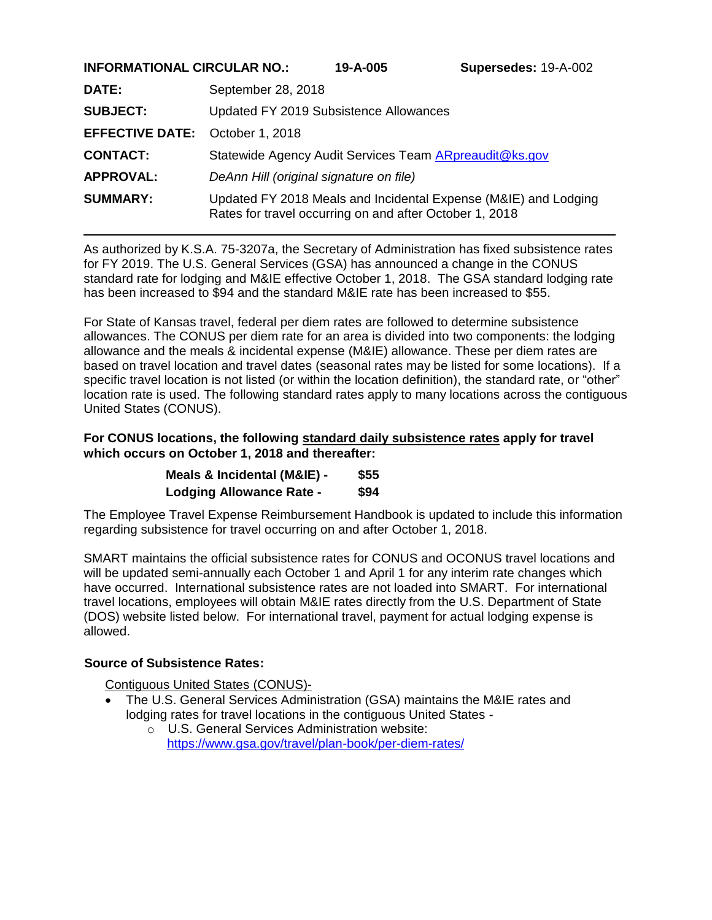| INFURMATIUNAL URUULAR NU. | LUU-A-UI               | <b>Supersedes:</b> 19-A-UUZ                                                                                                                                                                                                                                                      |
|---------------------------|------------------------|----------------------------------------------------------------------------------------------------------------------------------------------------------------------------------------------------------------------------------------------------------------------------------|
| September 28, 2018        |                        |                                                                                                                                                                                                                                                                                  |
|                           |                        |                                                                                                                                                                                                                                                                                  |
| October 1, 2018           |                        |                                                                                                                                                                                                                                                                                  |
|                           |                        |                                                                                                                                                                                                                                                                                  |
|                           |                        |                                                                                                                                                                                                                                                                                  |
|                           |                        |                                                                                                                                                                                                                                                                                  |
|                           | <b>EFFECTIVE DATE:</b> | Updated FY 2019 Subsistence Allowances<br>Statewide Agency Audit Services Team <b>ARpreaudit@ks.gov</b><br>DeAnn Hill (original signature on file)<br>Updated FY 2018 Meals and Incidental Expense (M&IE) and Lodging<br>Rates for travel occurring on and after October 1, 2018 |

As authorized by K.S.A. 75-3207a, the Secretary of Administration has fixed subsistence rates for FY 2019. The U.S. General Services (GSA) has announced a change in the CONUS standard rate for lodging and M&IE effective October 1, 2018. The GSA standard lodging rate has been increased to \$94 and the standard M&IE rate has been increased to \$55.

For State of Kansas travel, federal per diem rates are followed to determine subsistence allowances. The CONUS per diem rate for an area is divided into two components: the lodging allowance and the meals & incidental expense (M&IE) allowance. These per diem rates are based on travel location and travel dates (seasonal rates may be listed for some locations). If a specific travel location is not listed (or within the location definition), the standard rate, or "other" location rate is used. The following standard rates apply to many locations across the contiguous United States (CONUS).

#### **For CONUS locations, the following standard daily subsistence rates apply for travel which occurs on October 1, 2018 and thereafter:**

| Meals & Incidental (M&IE) -     | \$55 |
|---------------------------------|------|
| <b>Lodging Allowance Rate -</b> | \$94 |

The Employee Travel Expense Reimbursement Handbook is updated to include this information regarding subsistence for travel occurring on and after October 1, 2018.

SMART maintains the official subsistence rates for CONUS and OCONUS travel locations and will be updated semi-annually each October 1 and April 1 for any interim rate changes which have occurred. International subsistence rates are not loaded into SMART. For international travel locations, employees will obtain M&IE rates directly from the U.S. Department of State (DOS) website listed below. For international travel, payment for actual lodging expense is allowed.

## **Source of Subsistence Rates:**

Contiguous United States (CONUS)-

- The U.S. General Services Administration (GSA) maintains the M&IE rates and lodging rates for travel locations in the contiguous United States -
	- $\sim$  U.S. General Services Administration website: <https://www.gsa.gov/travel/plan-book/per-diem-rates/>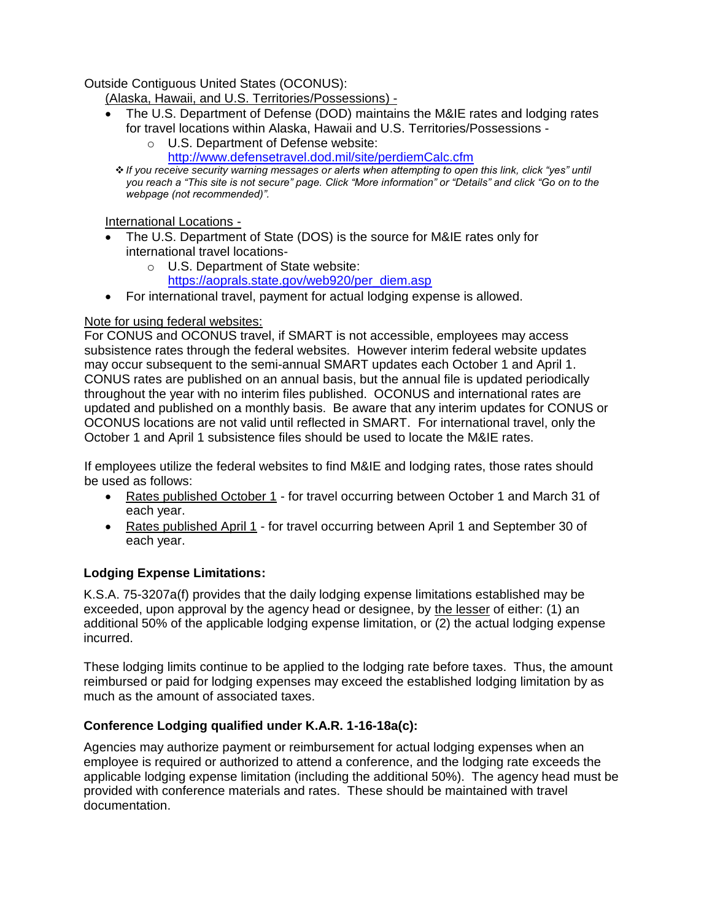Outside Contiguous United States (OCONUS):

(Alaska, Hawaii, and U.S. Territories/Possessions) -

- The U.S. Department of Defense (DOD) maintains the M&IE rates and lodging rates for travel locations within Alaska, Hawaii and U.S. Territories/Possessions
	- o U.S. Department of Defense website:
		- <http://www.defensetravel.dod.mil/site/perdiemCalc.cfm>
	- ❖ *If you receive security warning messages or alerts when attempting to open this link, click "yes" until you reach a "This site is not secure" page. Click "More information" or "Details" and click "Go on to the webpage (not recommended)".*

International Locations -

- The U.S. Department of State (DOS) is the source for M&IE rates only for international travel locations
	- o U.S. Department of State website: [https://aoprals.state.gov/web920/per\\_diem.asp](https://aoprals.state.gov/web920/per_diem.asp)
- For international travel, payment for actual lodging expense is allowed.

# Note for using federal websites:

For CONUS and OCONUS travel, if SMART is not accessible, employees may access subsistence rates through the federal websites. However interim federal website updates may occur subsequent to the semi-annual SMART updates each October 1 and April 1. CONUS rates are published on an annual basis, but the annual file is updated periodically throughout the year with no interim files published. OCONUS and international rates are updated and published on a monthly basis. Be aware that any interim updates for CONUS or OCONUS locations are not valid until reflected in SMART. For international travel, only the October 1 and April 1 subsistence files should be used to locate the M&IE rates.

If employees utilize the federal websites to find M&IE and lodging rates, those rates should be used as follows:

- Rates published October 1 for travel occurring between October 1 and March 31 of each year.
- Rates published April 1 for travel occurring between April 1 and September 30 of each year.

# **Lodging Expense Limitations:**

K.S.A. 75-3207a(f) provides that the daily lodging expense limitations established may be exceeded, upon approval by the agency head or designee, by the lesser of either: (1) an additional 50% of the applicable lodging expense limitation, or (2) the actual lodging expense incurred.

These lodging limits continue to be applied to the lodging rate before taxes. Thus, the amount reimbursed or paid for lodging expenses may exceed the established lodging limitation by as much as the amount of associated taxes.

# **Conference Lodging qualified under K.A.R. 1-16-18a(c):**

Agencies may authorize payment or reimbursement for actual lodging expenses when an employee is required or authorized to attend a conference, and the lodging rate exceeds the applicable lodging expense limitation (including the additional 50%). The agency head must be provided with conference materials and rates. These should be maintained with travel documentation.